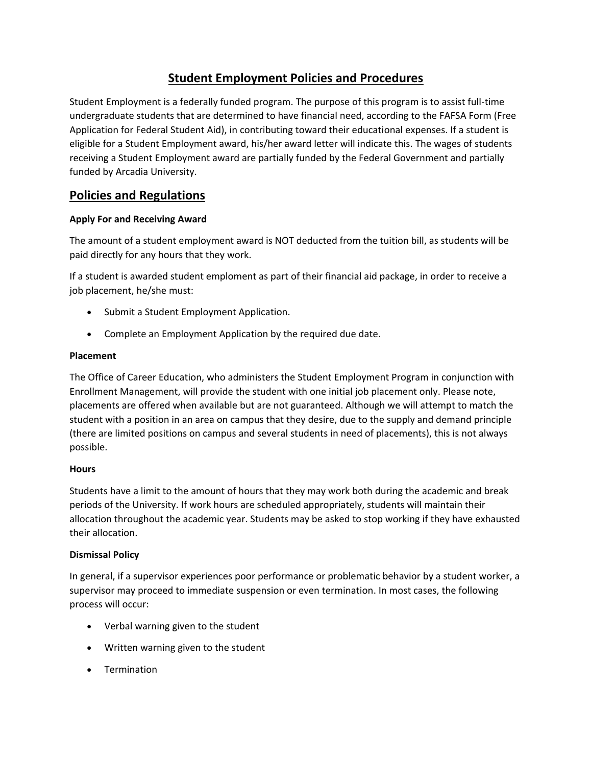# **Student Employment Policies and Procedures**

Student Employment is a federally funded program. The purpose of this program is to assist full-time undergraduate students that are determined to have financial need, according to the FAFSA Form (Free Application for Federal Student Aid), in contributing toward their educational expenses. If a student is eligible for a Student Employment award, his/her award letter will indicate this. The wages of students receiving a Student Employment award are partially funded by the Federal Government and partially funded by Arcadia University.

# **Policies and Regulations**

### **Apply For and Receiving Award**

The amount of a student employment award is NOT deducted from the tuition bill, as students will be paid directly for any hours that they work.

If a student is awarded student emploment as part of their financial aid package, in order to receive a job placement, he/she must:

- Submit a Student Employment Application.
- Complete an Employment Application by the required due date.

### **Placement**

The Office of Career Education, who administers the Student Employment Program in conjunction with Enrollment Management, will provide the student with one initial job placement only. Please note, placements are offered when available but are not guaranteed. Although we will attempt to match the student with a position in an area on campus that they desire, due to the supply and demand principle (there are limited positions on campus and several students in need of placements), this is not always possible.

### **Hours**

Students have a limit to the amount of hours that they may work both during the academic and break periods of the University. If work hours are scheduled appropriately, students will maintain their allocation throughout the academic year. Students may be asked to stop working if they have exhausted their allocation.

### **Dismissal Policy**

In general, if a supervisor experiences poor performance or problematic behavior by a student worker, a supervisor may proceed to immediate suspension or even termination. In most cases, the following process will occur:

- Verbal warning given to the student
- Written warning given to the student
- Termination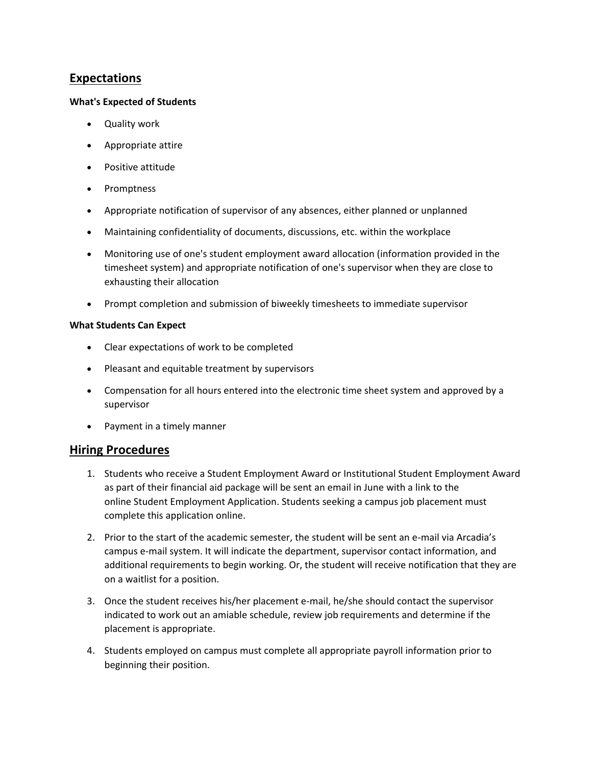# **Expectations**

### **What's Expected of Students**

- Quality work
- Appropriate attire
- Positive attitude
- Promptness
- Appropriate notification of supervisor of any absences, either planned or unplanned
- Maintaining confidentiality of documents, discussions, etc. within the workplace
- Monitoring use of one's student employment award allocation (information provided in the timesheet system) and appropriate notification of one's supervisor when they are close to exhausting their allocation
- Prompt completion and submission of biweekly timesheets to immediate supervisor

### **What Students Can Expect**

- Clear expectations of work to be completed
- Pleasant and equitable treatment by supervisors
- Compensation for all hours entered into the electronic time sheet system and approved by a supervisor
- Payment in a timely manner

# **Hiring Procedures**

- 1. Students who receive a Student Employment Award or Institutional Student Employment Award as part of their financial aid package will be sent an email in June with a link to the online Student Employment Application. Students seeking a campus job placement must complete this application online.
- 2. Prior to the start of the academic semester, the student will be sent an e-mail via Arcadia's campus e-mail system. It will indicate the department, supervisor contact information, and additional requirements to begin working. Or, the student will receive notification that they are on a waitlist for a position.
- 3. Once the student receives his/her placement e-mail, he/she should contact the supervisor indicated to work out an amiable schedule, review job requirements and determine if the placement is appropriate.
- 4. Students employed on campus must complete all appropriate payroll information prior to beginning their position.